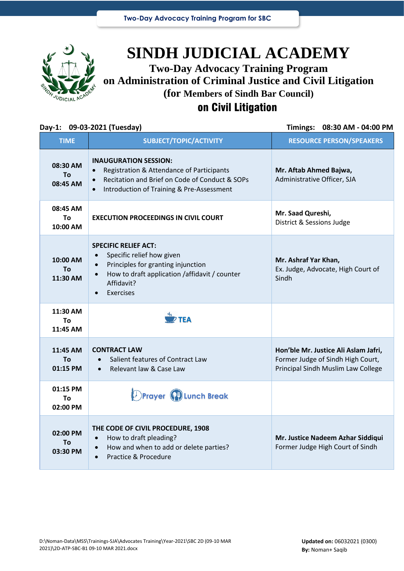

# **SINDH JUDICIAL ACADEMY Two-Day Advocacy Training Program on Administration of Criminal Justice and Civil Litigation**

**(for Members of Sindh Bar Council)**

# on Civil Litigation

### **Day-1: 09-03-2021 (Tuesday) Timings: 08:30 AM - 04:00 PM**

| <b>TIME</b>                       | SUBJECT/TOPIC/ACTIVITY                                                                                                                                                                                          | <b>RESOURCE PERSON/SPEAKERS</b>                                                                                 |
|-----------------------------------|-----------------------------------------------------------------------------------------------------------------------------------------------------------------------------------------------------------------|-----------------------------------------------------------------------------------------------------------------|
| 08:30 AM<br><b>To</b><br>08:45 AM | <b>INAUGURATION SESSION:</b><br>Registration & Attendance of Participants<br>$\bullet$<br>Recitation and Brief on Code of Conduct & SOPs<br>$\bullet$<br>Introduction of Training & Pre-Assessment<br>$\bullet$ | Mr. Aftab Ahmed Bajwa,<br>Administrative Officer, SJA                                                           |
| 08:45 AM<br>To<br>10:00 AM        | <b>EXECUTION PROCEEDINGS IN CIVIL COURT</b>                                                                                                                                                                     | Mr. Saad Qureshi,<br>District & Sessions Judge                                                                  |
| 10:00 AM<br>To<br>11:30 AM        | <b>SPECIFIC RELIEF ACT:</b><br>Specific relief how given<br>Principles for granting injunction<br>$\bullet$<br>How to draft application / affidavit / counter<br>Affidavit?<br>Exercises<br>$\bullet$           | Mr. Ashraf Yar Khan,<br>Ex. Judge, Advocate, High Court of<br>Sindh                                             |
| 11:30 AM<br>To<br>11:45 AM        | $\overline{D}$ TFA                                                                                                                                                                                              |                                                                                                                 |
| 11:45 AM<br>To<br>01:15 PM        | <b>CONTRACT LAW</b><br>Salient features of Contract Law<br>Relevant law & Case Law                                                                                                                              | Hon'ble Mr. Justice Ali Aslam Jafri,<br>Former Judge of Sindh High Court,<br>Principal Sindh Muslim Law College |
| 01:15 PM<br>Τo                    | <b>Prayer PLunch Break</b>                                                                                                                                                                                      |                                                                                                                 |
| 02:00 PM                          |                                                                                                                                                                                                                 |                                                                                                                 |